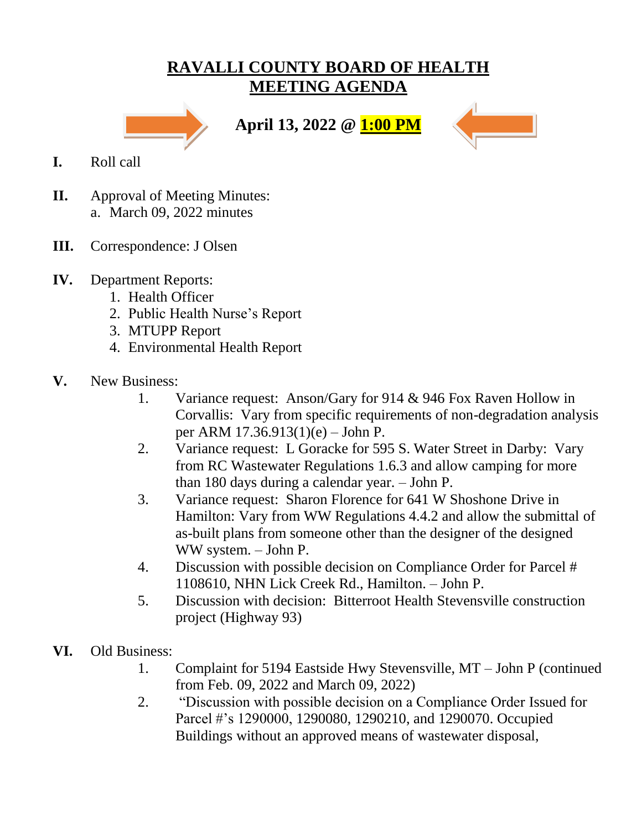## **RAVALLI COUNTY BOARD OF HEALTH MEETING AGENDA**



**April 13, 2022 @ 1:00 PM**



- **I.** Roll call
- **II.** Approval of Meeting Minutes: a. March 09, 2022 minutes
- **III.** Correspondence: J Olsen
- **IV.** Department Reports:
	- 1. Health Officer
	- 2. Public Health Nurse's Report
	- 3. MTUPP Report
	- 4. Environmental Health Report
- **V.** New Business:
	- 1. Variance request: Anson/Gary for 914 & 946 Fox Raven Hollow in Corvallis: Vary from specific requirements of non-degradation analysis per ARM 17.36.913(1)(e) – John P.
	- 2. Variance request: L Goracke for 595 S. Water Street in Darby: Vary from RC Wastewater Regulations 1.6.3 and allow camping for more than 180 days during a calendar year. – John P.
	- 3. Variance request: Sharon Florence for 641 W Shoshone Drive in Hamilton: Vary from WW Regulations 4.4.2 and allow the submittal of as-built plans from someone other than the designer of the designed WW system. – John P.
	- 4. Discussion with possible decision on Compliance Order for Parcel # 1108610, NHN Lick Creek Rd., Hamilton. – John P.
	- 5. Discussion with decision: Bitterroot Health Stevensville construction project (Highway 93)
- **VI.** Old Business:
	- 1. Complaint for 5194 Eastside Hwy Stevensville, MT John P (continued from Feb. 09, 2022 and March 09, 2022)
	- 2. "Discussion with possible decision on a Compliance Order Issued for Parcel #'s 1290000, 1290080, 1290210, and 1290070. Occupied Buildings without an approved means of wastewater disposal,